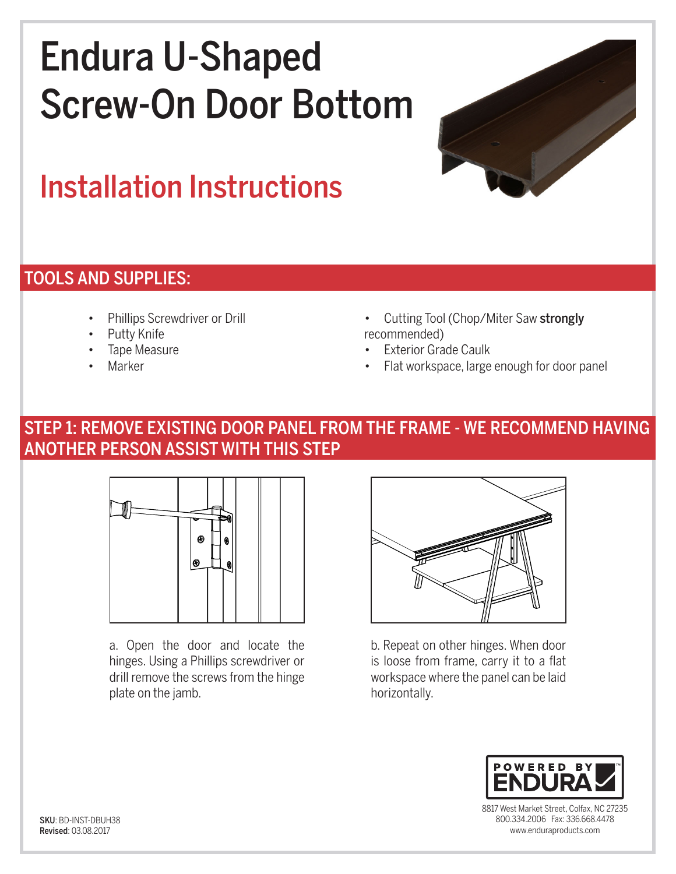# Endura U-Shaped Screw-On Door Bottom



# Installation Instructions

#### TOOLS AND SUPPLIES:

- Phillips Screwdriver or Drill
- Putty Knife
- Tape Measure
- **Marker**
- Cutting Tool (Chop/Miter Saw strongly recommended)
- **Exterior Grade Caulk**
- Flat workspace, large enough for door panel

### STEP 1: REMOVE EXISTING DOOR PANEL FROM THE FRAME - WE RECOMMEND HAVING ANOTHER PERSON ASSIST WITH THIS STEP



a. Open the door and locate the hinges. Using a Phillips screwdriver or drill remove the screws from the hinge plate on the jamb.



b. Repeat on other hinges. When door is loose from frame, carry it to a flat workspace where the panel can be laid horizontally.



8817 West Market Street, Colfax, NC 27235 800.334.2006 Fax: 336.668.4478 www.enduraproducts.com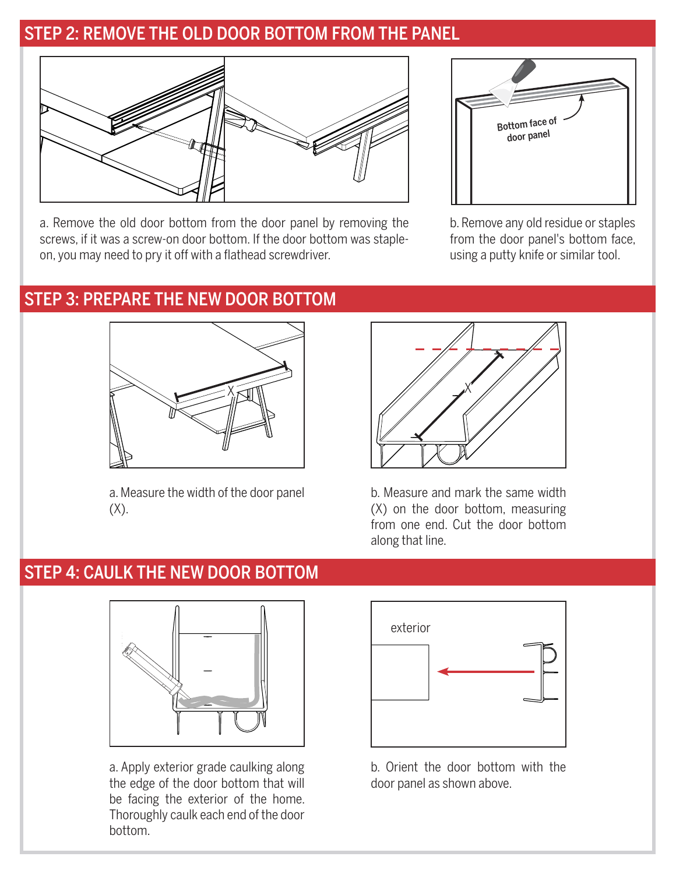### STEP 2: REMOVE THE OLD DOOR BOTTOM FROM THE PANEL



a. Remove the old door bottom from the door panel by removing the screws, if it was a screw-on door bottom. If the door bottom was stapleon, you may need to pry it off with a flathead screwdriver.



b. Remove any old residue or staples from the door panel's bottom face, using a putty knife or similar tool.

#### STEP 3: PREPARE THE NEW DOOR BOTTOM



a. Measure the width of the door panel  $(X)$ .



b. Measure and mark the same width (X) on the door bottom, measuring from one end. Cut the door bottom along that line.

#### STEP 4: CAULK THE NEW DOOR BOTTOM



a. Apply exterior grade caulking along the edge of the door bottom that will be facing the exterior of the home. Thoroughly caulk each end of the door bottom.



b. Orient the door bottom with the door panel as shown above.